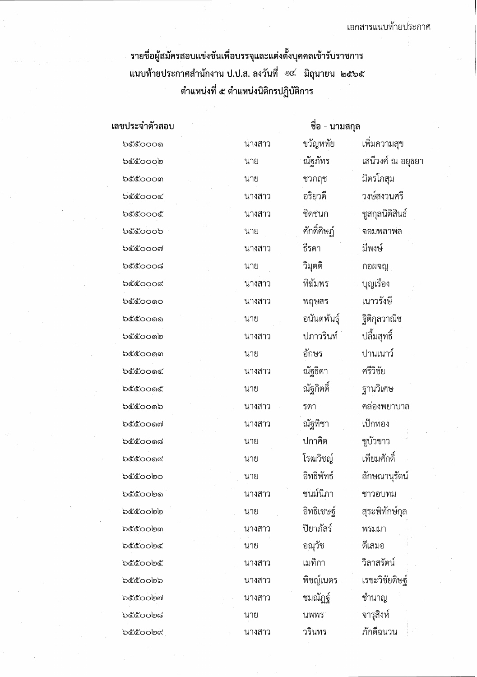รายชื่อผู้สมัครสอบแข่งขันเพื่อบรรจุและแต่งตั้งบุคคลเข้ารับราชการ ตำแหน่งที่ ๕ ตำแหน่งนิติกรปฏิบัติการ

ชื่อ - นามสกุล เลขประจำตัวสอบ ขวัญหทัย เพิ่มความสุข b๕๕๐๐๐๑ นางสาว เสนีวงศ์ ณ อยุธยา ณัฐภัทร bccoolo นาย ชวกฤช มิตรโกสม b๕๕๐๐๐๓ นาย วงษ์สงวนศรี อริยวดี becook นางสาว ชิดช่นก ชสกลนิติสินธ์ ക്രോറി นางสาว ศักดิ์ศิษภ์ จอมพลาพล **b**ocoob นาย ธีรดา มีพงษ์ **b๕๕๐๐๐๗** นางสาว วิมุตติ ಶಿಂಂಂಗ กอผจญ นาย บุญเรื่อง ทิฆัมพร ക്ക്റററപ്പ นางสาว เนาวรังพี ឯ๕๕๐๐๑๐ พฤษสร นางสาว ฐิติกุลวาณิช อนันตพันธุ์ **๖๕๕๐๐**๑๑ นาย ปลื้มสทธิ์ ปภาวรินท์ อ๕๕๐๐๑๒ นางสาว อักษร ปานเนาว์ bccoom นาย ณัฐธิดา ศรีวิชัย <u>b๕๕๐๐๑๔</u> นางสาว ณัฐกิตติ๋ ฐานวิเศษ **b๕๕๐๐๑๕** นาย คล่องพยาบาล **b๕๕๐๐๑๖** รดา ินางสาว ณัฐทิชา เป็กทอง **b๕๕๐๐๑๗** นางสาว ปกาศิต ชูบัวขาว ഉഭ്ഗേരപ്പ นาย เทียมศักดิ์ โรฒวิชญ์ **b๕๕๐๐๑๙** นาย อิทธิพัทธ์ ลักษณานรัตน์ bccoobo นาย ชนม์นิภา **b๕๕๐๐๒๑** ชาวอบทม นางสาว อ๕๕๐๐๒๒ อิทธิเชษฐ์ สุระพิทักษ์กุล นาย ปิยาภัสร์ **b**&cob๓ นางสาว พรมมา อณุวัช ดีเสมค **b**&&oolne นาย วิลาสรัตน์ เมทิกา **๖๕๕๐๐**๒๕ นางสาว เรขะวิชัยดิษฐ์ พิชญ์เนตร **bccoobb** นางสาว **b**&cobฟ ชมณัฏฐ์ ชำนาญ นางสาว จารุสิงห์ ಾರೊಂರಿತದ นพพร นาย ภักดีฉนวน **b**&cobc วรินทร

นางสาว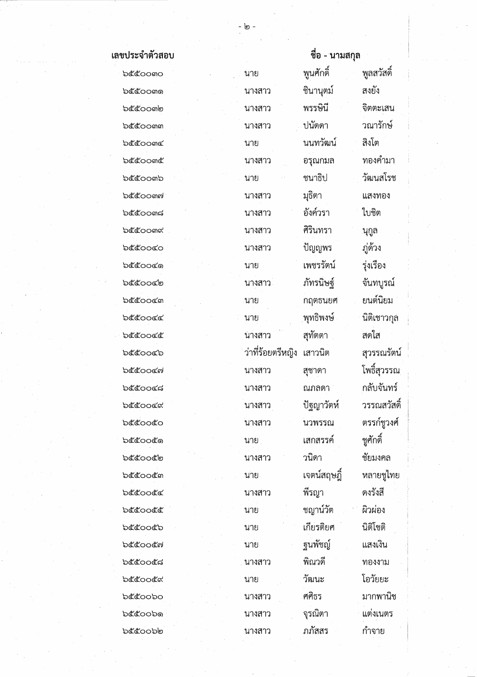| ขประจำตัวสอบ       |                   | ชื่อ - นามสกุล |             |  |
|--------------------|-------------------|----------------|-------------|--|
| <b>b</b> ecomo     | ันาย              | พูนศักดิ์      | พูลสวัสดิ์  |  |
| b๕๕oom๑            | นางสาว            | ชินานุตม์      | สงยัง       |  |
| b๕๕๐๐๓๒            | นางสาว            | พรรษินี        | จิตตะเสน    |  |
| <b>bcccomm</b>     | นางสาว            | ปนัดดา         | วณารักษ์    |  |
| <b>b</b> &com      | นาย               | นนทวัฒน์       | สิงโต       |  |
| <b>ර්</b> රිය ගෙර  | นางสาว            | อรุณกมล        | ทองคำมา     |  |
| b๕๕oo๓๖            | นาย               | ชนาธิป         | วัฒนสโรช    |  |
| b๕๕๐๐๓๗            | นางสาว            | มุธิตา         | แสงทอง      |  |
| <b>b</b> ecoom     | นางสาว            | อังค์วรา       | ใบชิต       |  |
| <b>b</b> &com๙     | นางสาว            | ศิรินทรา       | นุกูล       |  |
| ರಿ೬೬೦೦೬೦           | นางสาว            | ปัญญพร         | ภู่ด้วง     |  |
| <b>b</b> ecooc®    | นาย               | เพชรรัตน์      | รุ่งเรื่อง  |  |
| <b>'ಾ</b> ರ್ಲಿಂದ   | นางสาว            | ภัทรนิษฐ์      | จันทบูรณ์   |  |
| <b>b</b> &coocm    | ุนาย              | กฤตธนยศ        | ยนต์นิยม    |  |
| ರಿ೬ೆ೬೦೦೬೬          | นาย               | ุพุทธิพงษ์     | นิติเชาวกุล |  |
| ರಿ೬ೆ೬೦೦೬೬          | นางสาว            | สุทัตตา        | ิสดใส       |  |
| <b>'ಾ</b> ಲಿಯಾ     | ว่าที่ร้อยตรีหญิง | เสาวนิต        | สุวรรณรัตน์ |  |
| <b>'</b> ಂದೇ       | นางสาว            | สุชาดา         | โพธิ์สุวรรณ |  |
| <b>'ಾರ್</b> ಯಂತ    | นางสาว            | ณภลดา          | กลับจันทร์  |  |
| ರಿ೬ೆ೬೦೦೬ನ          | นางสาว            | ปัฐญาวัตห์     | วรรณสวัสดิ์ |  |
| <b>b</b> ecooco    | นางสาว            | นวพรรณ         | ตรรก์ชูวงศ์ |  |
| විරේගයේ            | นาย               | เสกสรรค์       | ชูศักดิ์    |  |
| <b>'ಾ</b> ಲ್ಲಿಂದಲಿ | นางสาว            | วนิดา          | ชัยมงคล     |  |
| <b>b</b> &cocm     | ุนาย              | เจตน์สฤษฎิ์    | หลายชูไทย   |  |
| <b>'</b> ಂದೆ       | นางสาว            | พิรญา          | ดงรังสี     |  |
| ಶಿಕಿತಂಂತಿತ         | นาย               | ชญาน์วัต       | ผิวผ่อง     |  |
| <b>b</b> ecoocb    | นาย               | เกียรติยศ      | นิติโชติ    |  |
| <b>b</b> ๕๕๐๐๕๗    | นาย               | ฐนพัชญ์        | แสงเงิน     |  |
| <b>'</b> ಂದೆದ      | นางสาว            | พิณวดี         | ทองงาม      |  |
| <b>b</b> ecoock    | นาย               | วัฒนะ          | โอวัยยะ     |  |
| <b>b</b> ecoobo    | นางสาว            | ศศิธร          | มากพานิช    |  |
| ර්රියා තිබ         | นางสาว            | จุรณิตา        | แต่งเนตร    |  |
| <b>b</b> ಕೆಗೆಂಂಠಿ  | นางสาว            | ภภัสสร         | กำจาย       |  |

เลขประจำตั bcco